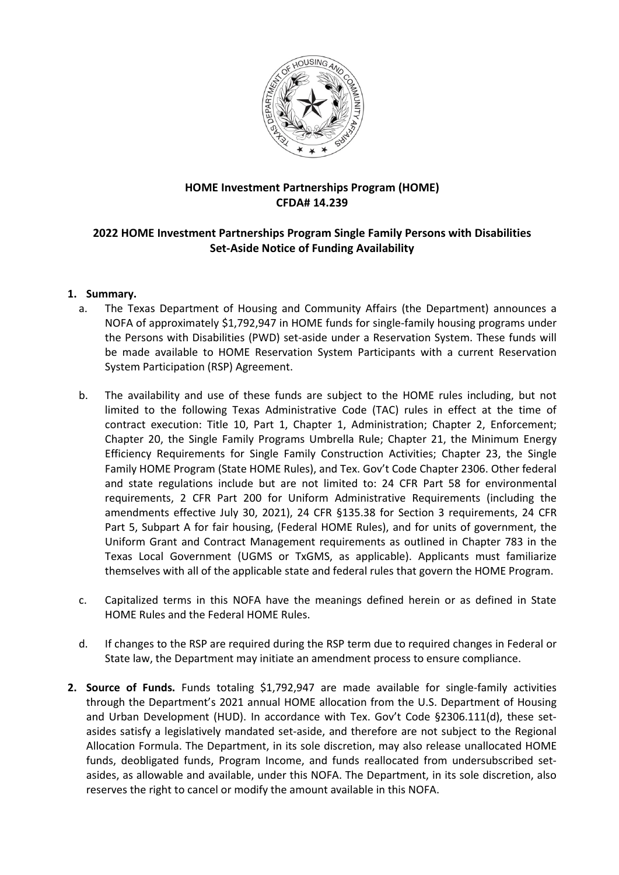

## **HOME Investment Partnerships Program (HOME) CFDA# 14.239**

# **2022 HOME Investment Partnerships Program Single Family Persons with Disabilities Set-Aside Notice of Funding Availability**

## **1. Summary.**

- a. The Texas Department of Housing and Community Affairs (the Department) announces a NOFA of approximately \$1,792,947 in HOME funds for single-family housing programs under the Persons with Disabilities (PWD) set-aside under a Reservation System. These funds will be made available to HOME Reservation System Participants with a current Reservation System Participation (RSP) Agreement.
- b. The availability and use of these funds are subject to the HOME rules including, but not limited to the following Texas Administrative Code (TAC) rules in effect at the time of contract execution: Title 10, Part 1, Chapter 1, Administration; Chapter 2, Enforcement; Chapter 20, the Single Family Programs Umbrella Rule; Chapter 21, the Minimum Energy Efficiency Requirements for Single Family Construction Activities; Chapter 23, the Single Family HOME Program (State HOME Rules), and Tex. Gov't Code Chapter 2306. Other federal and state regulations include but are not limited to: 24 CFR Part 58 for environmental requirements, 2 CFR Part 200 for Uniform Administrative Requirements (including the amendments effective July 30, 2021), 24 CFR §135.38 for Section 3 requirements, 24 CFR Part 5, Subpart A for fair housing, (Federal HOME Rules), and for units of government, the Uniform Grant and Contract Management requirements as outlined in Chapter 783 in the Texas Local Government (UGMS or TxGMS, as applicable). Applicants must familiarize themselves with all of the applicable state and federal rules that govern the HOME Program.
- c. Capitalized terms in this NOFA have the meanings defined herein or as defined in State HOME Rules and the Federal HOME Rules.
- d. If changes to the RSP are required during the RSP term due to required changes in Federal or State law, the Department may initiate an amendment process to ensure compliance.
- **2. Source of Funds.** Funds totaling \$1,792,947 are made available for single-family activities through the Department's 2021 annual HOME allocation from the U.S. Department of Housing and Urban Development (HUD). In accordance with Tex. Gov't Code §2306.111(d), these setasides satisfy a legislatively mandated set-aside, and therefore are not subject to the Regional Allocation Formula. The Department, in its sole discretion, may also release unallocated HOME funds, deobligated funds, Program Income, and funds reallocated from undersubscribed setasides, as allowable and available, under this NOFA. The Department, in its sole discretion, also reserves the right to cancel or modify the amount available in this NOFA.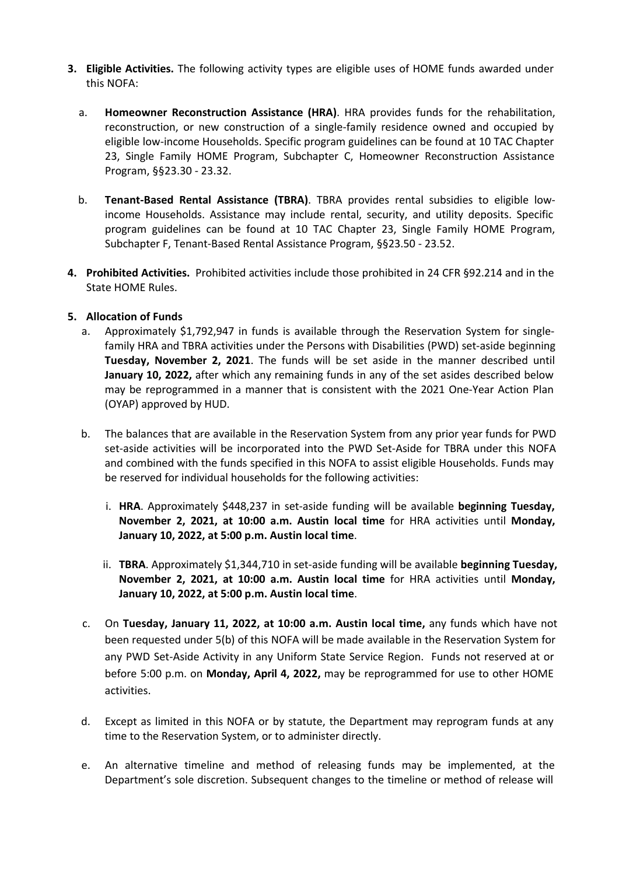- **3. Eligible Activities.** The following activity types are eligible uses of HOME funds awarded under this NOFA:
	- a. **Homeowner Reconstruction Assistance (HRA)**. HRA provides funds for the rehabilitation, reconstruction, or new construction of a single-family residence owned and occupied by eligible low-income Households. Specific program guidelines can be found at 10 TAC Chapter 23, Single Family HOME Program, Subchapter C, Homeowner Reconstruction Assistance Program, §§23.30 - 23.32.
	- b. **Tenant-Based Rental Assistance (TBRA)**. TBRA provides rental subsidies to eligible lowincome Households. Assistance may include rental, security, and utility deposits. Specific program guidelines can be found at 10 TAC Chapter 23, Single Family HOME Program, Subchapter F, Tenant-Based Rental Assistance Program, §§23.50 - 23.52.
- **4. Prohibited Activities.** Prohibited activities include those prohibited in 24 CFR §92.214 and in the State HOME Rules.

## **5. Allocation of Funds**

- a. Approximately \$1,792,947 in funds is available through the Reservation System for singlefamily HRA and TBRA activities under the Persons with Disabilities (PWD) set-aside beginning **Tuesday, November 2, 2021**. The funds will be set aside in the manner described until **January 10, 2022,** after which any remaining funds in any of the set asides described below may be reprogrammed in a manner that is consistent with the 2021 One-Year Action Plan (OYAP) approved by HUD.
- b. The balances that are available in the Reservation System from any prior year funds for PWD set-aside activities will be incorporated into the PWD Set-Aside for TBRA under this NOFA and combined with the funds specified in this NOFA to assist eligible Households. Funds may be reserved for individual households for the following activities:
	- i. **HRA**. Approximately \$448,237 in set-aside funding will be available **beginning Tuesday, November 2, 2021, at 10:00 a.m. Austin local time** for HRA activities until **Monday, January 10, 2022, at 5:00 p.m. Austin local time**.
	- ii. **TBRA**. Approximately \$1,344,710 in set-aside funding will be available **beginning Tuesday, November 2, 2021, at 10:00 a.m. Austin local time** for HRA activities until **Monday, January 10, 2022, at 5:00 p.m. Austin local time**.
- c. On **Tuesday, January 11, 2022, at 10:00 a.m. Austin local time,** any funds which have not been requested under 5(b) of this NOFA will be made available in the Reservation System for any PWD Set-Aside Activity in any Uniform State Service Region. Funds not reserved at or before 5:00 p.m. on **Monday, April 4, 2022,** may be reprogrammed for use to other HOME activities.
- d. Except as limited in this NOFA or by statute, the Department may reprogram funds at any time to the Reservation System, or to administer directly.
- e. An alternative timeline and method of releasing funds may be implemented, at the Department's sole discretion. Subsequent changes to the timeline or method of release will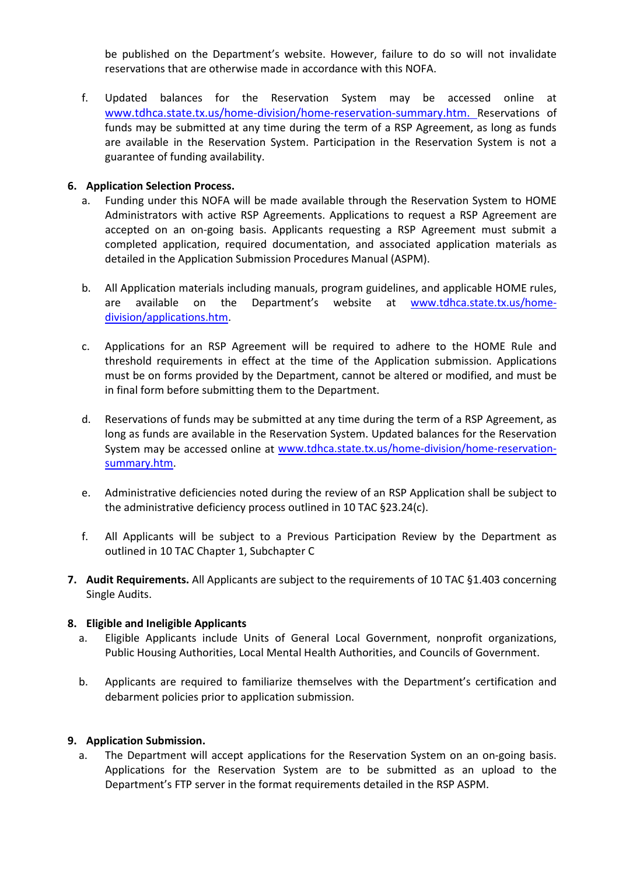be published on the Department's website. However, failure to do so will not invalidate reservations that are otherwise made in accordance with this NOFA.

f. Updated balances for the Reservation System may be accessed online at [www.tdhca.state.tx.us/home-division/home-reservation-summary.htm.](http://www.tdhca.state.tx.us/home-division/home-reservation-summary.htm) Reservations of funds may be submitted at any time during the term of a RSP Agreement, as long as funds are available in the Reservation System. Participation in the Reservation System is not a guarantee of funding availability.

#### **6. Application Selection Process.**

- a. Funding under this NOFA will be made available through the Reservation System to HOME Administrators with active RSP Agreements. Applications to request a RSP Agreement are accepted on an on-going basis. Applicants requesting a RSP Agreement must submit a completed application, required documentation, and associated application materials as detailed in the Application Submission Procedures Manual (ASPM).
- b. All Application materials including manuals, program guidelines, and applicable HOME rules, are available on the Department's website at [www.tdhca.state.tx.us/home](http://www.tdhca.state.tx.us/home-division/applications.htm)[division/applications.htm.](http://www.tdhca.state.tx.us/home-division/applications.htm)
- c. Applications for an RSP Agreement will be required to adhere to the HOME Rule and threshold requirements in effect at the time of the Application submission. Applications must be on forms provided by the Department, cannot be altered or modified, and must be in final form before submitting them to the Department.
- d. Reservations of funds may be submitted at any time during the term of a RSP Agreement, as long as funds are available in the Reservation System. Updated balances for the Reservation System may be accessed online at [www.tdhca.state.tx.us/home-division/home-reservation](http://www.tdhca.state.tx.us/home-division/home-reservation-summary.htm)[summary.htm.](http://www.tdhca.state.tx.us/home-division/home-reservation-summary.htm)
- e. Administrative deficiencies noted during the review of an RSP Application shall be subject to the administrative deficiency process outlined in 10 TAC §23.24(c).
- f. All Applicants will be subject to a Previous Participation Review by the Department as outlined in 10 TAC Chapter 1, Subchapter C
- **7. Audit Requirements.** All Applicants are subject to the requirements of 10 TAC §1.403 concerning Single Audits.

#### **8. Eligible and Ineligible Applicants**

- a. Eligible Applicants include Units of General Local Government, nonprofit organizations, Public Housing Authorities, Local Mental Health Authorities, and Councils of Government.
- b. Applicants are required to familiarize themselves with the Department's certification and debarment policies prior to application submission.

#### **9. Application Submission.**

a. The Department will accept applications for the Reservation System on an on-going basis. Applications for the Reservation System are to be submitted as an upload to the Department's FTP server in the format requirements detailed in the RSP ASPM.